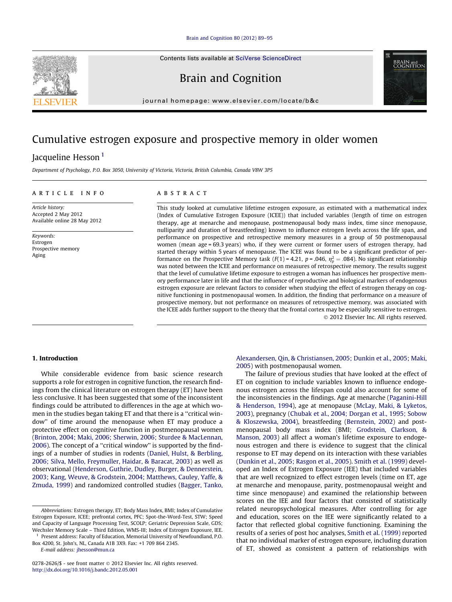[Brain and Cognition 80 \(2012\) 89–95](http://dx.doi.org/10.1016/j.bandc.2012.05.001)

Contents lists available at [SciVerse ScienceDirect](http://www.sciencedirect.com/science/journal/02782626)

Brain and Cognition

journal homepage: [www.elsevier.com/locate/b&c](http://www.elsevier.com/locate/b&c)

# Cumulative estrogen exposure and prospective memory in older women

## Jacqueline Hesson<sup>1</sup>

Department of Psychology, P.O. Box 3050, University of Victoria, Victoria, British Columbia, Canada V8W 3P5

### article info

Article history: Accepted 2 May 2012 Available online 28 May 2012

Keywords: Estrogen Prospective memory Aging

#### **ABSTRACT**

This study looked at cumulative lifetime estrogen exposure, as estimated with a mathematical index (Index of Cumulative Estrogen Exposure (ICEE)) that included variables (length of time on estrogen therapy, age at menarche and menopause, postmenopausal body mass index, time since menopause, nulliparity and duration of breastfeeding) known to influence estrogen levels across the life span, and performance on prospective and retrospective memory measures in a group of 50 postmenopausal women (mean age = 69.3 years) who, if they were current or former users of estrogen therapy, had started therapy within 5 years of menopause. The ICEE was found to be a significant predictor of performance on the Prospective Memory task ( $F(1) = 4.21$ ,  $p = .046$ ,  $\eta_p^2 = .084$ ). No significant relationship was noted between the ICEE and performance on measures of retrospective memory. The results suggest that the level of cumulative lifetime exposure to estrogen a woman has influences her prospective memory performance later in life and that the influence of reproductive and biological markers of endogenous estrogen exposure are relevant factors to consider when studying the effect of estrogen therapy on cognitive functioning in postmenopausal women. In addition, the finding that performance on a measure of prospective memory, but not performance on measures of retrospective memory, was associated with the ICEE adds further support to the theory that the frontal cortex may be especially sensitive to estrogen. - 2012 Elsevier Inc. All rights reserved.

### 1. Introduction

While considerable evidence from basic science research supports a role for estrogen in cognitive function, the research findings from the clinical literature on estrogen therapy (ET) have been less conclusive. It has been suggested that some of the inconsistent findings could be attributed to differences in the age at which women in the studies began taking ET and that there is a ''critical window'' of time around the menopause when ET may produce a protective effect on cognitive function in postmenopausal women ([Brinton, 2004; Maki, 2006; Sherwin, 2006; Sturdee & MacLennan,](#page--1-0) [2006](#page--1-0)). The concept of a ''critical window'' is supported by the findings of a number of studies in rodents [\(Daniel, Hulst, & Berbling,](#page--1-0) [2006; Silva, Mello, Freymuller, Haidar, & Baracat, 2003\)](#page--1-0) as well as observational ([Henderson, Guthrie, Dudley, Burger, & Dennerstein,](#page--1-0) [2003; Kang, Weuve, & Grodstein, 2004; Matthews, Cauley, Yaffe, &](#page--1-0) [Zmuda, 1999\)](#page--1-0) and randomized controlled studies [\(Bagger, Tanko,](#page--1-0)

<sup>1</sup> Present address: Faculty of Education, Memorial University of Newfoundland, P.O. Box 4200, St. John's, NL, Canada A1B 3X9. Fax: +1 709 864 2345.

E-mail address: [jhesson@mun.ca](mailto:jhesson@mun.ca)

[Alexandersen, Qin, & Christiansen, 2005; Dunkin et al., 2005; Maki,](#page--1-0) [2005](#page--1-0)) with postmenopausal women.

The failure of previous studies that have looked at the effect of ET on cognition to include variables known to influence endogenous estrogen across the lifespan could also account for some of the inconsistencies in the findings. Age at menarche [\(Paganini-Hill](#page--1-0) [& Henderson, 1994](#page--1-0)), age at menopause ([McLay, Maki, & Lyketos,](#page--1-0) [2003](#page--1-0)), pregnancy ([Chubak et al., 2004; Dorgan et al., 1995; Sobow](#page--1-0) [& Kloszewska, 2004\)](#page--1-0), breastfeeding [\(Bernstein, 2002\)](#page--1-0) and postmenopausal body mass index (BMI; [Grodstein, Clarkson, &](#page--1-0) [Manson, 2003](#page--1-0)) all affect a woman's lifetime exposure to endogenous estrogen and there is evidence to suggest that the clinical response to ET may depend on its interaction with these variables ([Dunkin et al., 2005; Rasgon et al., 2005](#page--1-0)). [Smith et al. \(1999\)](#page--1-0) developed an Index of Estrogen Exposure (IEE) that included variables that are well recognized to effect estrogen levels (time on ET, age at menarche and menopause, parity, postmenopausal weight and time since menopause) and examined the relationship between scores on the IEE and four factors that consisted of statistically related neuropsychological measures. After controlling for age and education, scores on the IEE were significantly related to a factor that reflected global cognitive functioning. Examining the results of a series of post hoc analyses, [Smith et al. \(1999\)](#page--1-0) reported that no individual marker of estrogen exposure, including duration of ET, showed as consistent a pattern of relationships with





Abbreviations: Estrogen therapy, ET; Body Mass Index, BMI; Index of Cumulative Estrogen Exposure, ICEE; prefrontal cortex, PFC; Spot-the-Word-Test, STW; Speed and Capacity of Language Processing Test, SCOLP; Geriatric Depression Scale, GDS; Wechsler Memory Scale – Third Edition, WMS-III; Index of Estrogen Exposure, IEE.

<sup>0278-2626/\$ -</sup> see front matter © 2012 Elsevier Inc. All rights reserved. <http://dx.doi.org/10.1016/j.bandc.2012.05.001>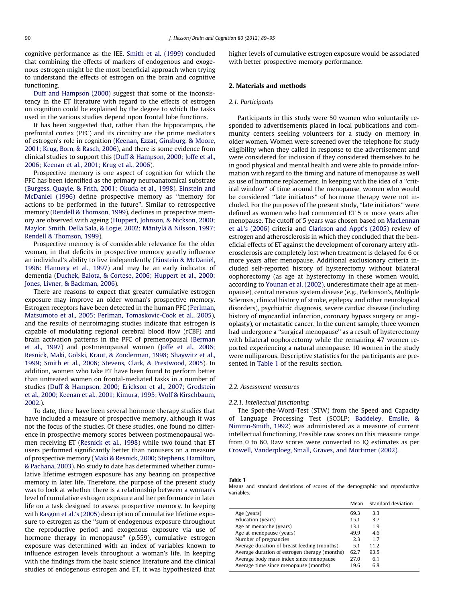cognitive performance as the IEE. [Smith et al. \(1999\)](#page--1-0) concluded that combining the effects of markers of endogenous and exogenous estrogen might be the most beneficial approach when trying to understand the effects of estrogen on the brain and cognitive functioning.

[Duff and Hampson \(2000\)](#page--1-0) suggest that some of the inconsistency in the ET literature with regard to the effects of estrogen on cognition could be explained by the degree to which the tasks used in the various studies depend upon frontal lobe functions.

It has been suggested that, rather than the hippocampus, the prefrontal cortex (PFC) and its circuitry are the prime mediators of estrogen's role in cognition ([Keenan, Ezzat, Ginsburg, & Moore,](#page--1-0) [2001; Krug, Born, & Rasch, 2006\)](#page--1-0), and there is some evidence from clinical studies to support this ([Duff & Hampson, 2000; Joffe et al.,](#page--1-0) [2006; Keenan et al., 2001; Krug et al., 2006\)](#page--1-0).

Prospective memory is one aspect of cognition for which the PFC has been identified as the primary neuroanatomical substrate ([Burgess, Quayle, & Frith, 2001; Okuda et al., 1998](#page--1-0)). [Einstein and](#page--1-0) [McDaniel \(1996\)](#page--1-0) define prospective memory as ''memory for actions to be performed in the future''. Similar to retrospective memory ([Rendell & Thomson, 1999\)](#page--1-0), declines in prospective memory are observed with ageing ([Huppert, Johnson, & Nickson, 2000;](#page--1-0) [Maylor, Smith, Della Sala, & Logie, 2002; Mäntylä & Nilsson, 1997;](#page--1-0) [Rendell & Thomson, 1999](#page--1-0)).

Prospective memory is of considerable relevance for the older woman, in that deficits in prospective memory greatly influence an individual's ability to live independently ([Einstein & McDaniel,](#page--1-0) [1996:](#page--1-0) [Flannery et al., 1997\)](#page--1-0) and may be an early indicator of dementia ([Duchek, Balota, & Cortese, 2006; Huppert et al., 2000;](#page--1-0) [Jones, Livner, & Backman, 2006](#page--1-0)).

There are reasons to expect that greater cumulative estrogen exposure may improve an older woman's prospective memory. Estrogen receptors have been detected in the human PFC ([Perlman,](#page--1-0) [Matsumoto et al., 2005; Perlman, Tomaskovic-Cook et al., 2005\)](#page--1-0), and the results of neuroimaging studies indicate that estrogen is capable of modulating regional cerebral blood flow (rCBF) and brain activation patterns in the PFC of premenopausal [\(Berman](#page--1-0) [et al., 1997](#page--1-0)) and postmenopausal women ([Joffe et al., 2006;](#page--1-0) [Resnick, Maki, Golski, Kraut, & Zonderman, 1998; Shaywitz et al.,](#page--1-0) [1999; Smith et al., 2006; Stevens, Clark, & Prestwood, 2005\)](#page--1-0). In addition, women who take ET have been found to perform better than untreated women on frontal-mediated tasks in a number of studies [\(Duff & Hampson, 2000; Erickson et al., 2007; Grodstein](#page--1-0) [et al., 2000; Keenan et al., 2001; Kimura, 1995; Wolf & Kirschbaum,](#page--1-0) [2002.](#page--1-0)).

To date, there have been several hormone therapy studies that have included a measure of prospective memory, although it was not the focus of the studies. Of these studies, one found no difference in prospective memory scores between postmenopausal women receiving ET [\(Resnick et al., 1998\)](#page--1-0) while two found that ET users performed significantly better than nonusers on a measure of prospective memory [\(Maki & Resnick, 2000; Stephens, Hamilton,](#page--1-0) [& Pachana, 2003](#page--1-0)). No study to date has determined whether cumulative lifetime estrogen exposure has any bearing on prospective memory in later life. Therefore, the purpose of the present study was to look at whether there is a relationship between a woman's level of cumulative estrogen exposure and her performance in later life on a task designed to assess prospective memory. In keeping with [Rasgon et al.'s \(2005\)](#page--1-0) description of cumulative lifetime exposure to estrogen as the ''sum of endogenous exposure throughout the reproductive period and exogenous exposure via use of hormone therapy in menopause'' (p.559), cumulative estrogen exposure was determined with an index of variables known to influence estrogen levels throughout a woman's life. In keeping with the findings from the basic science literature and the clinical studies of endogenous estrogen and ET, it was hypothesized that higher levels of cumulative estrogen exposure would be associated with better prospective memory performance.

### 2. Materials and methods

#### 2.1. Participants

Participants in this study were 50 women who voluntarily responded to advertisements placed in local publications and community centers seeking volunteers for a study on memory in older women. Women were screened over the telephone for study eligibility when they called in response to the advertisement and were considered for inclusion if they considered themselves to be in good physical and mental health and were able to provide information with regard to the timing and nature of menopause as well as use of hormone replacement. In keeping with the idea of a ''critical window'' of time around the menopause, women who would be considered ''late initiators'' of hormone therapy were not included. For the purposes of the present study, ''late initiators'' were defined as women who had commenced ET 5 or more years after menopause. The cutoff of 5 years was chosen based on [MacLennan](#page--1-0) [et al.'s \(2006\)](#page--1-0) criteria and [Clarkson and Appt's \(2005\)](#page--1-0) review of estrogen and atherosclerosis in which they concluded that the beneficial effects of ET against the development of coronary artery atherosclerosis are completely lost when treatment is delayed for 6 or more years after menopause. Additional exclusionary criteria included self-reported history of hysterectomy without bilateral oophorectomy (as age at hysterectomy in these women would, according to [Younan et al. \(2002\),](#page--1-0) underestimate their age at menopause), central nervous system disease (e.g., Parkinson's, Multiple Sclerosis, clinical history of stroke, epilepsy and other neurological disorders), psychiatric diagnosis, severe cardiac disease (including history of myocardial infarction, coronary bypass surgery or angioplasty), or metastatic cancer. In the current sample, three women had undergone a ''surgical menopause'' as a result of hysterectomy with bilateral oophorectomy while the remaining 47 women reported experiencing a natural menopause. 10 women in the study were nulliparous. Descriptive statistics for the participants are presented in Table 1 of the results section.

#### 2.2. Assessment measures

#### 2.2.1. Intellectual functioning

The Spot-the-Word-Test (STW) from the Speed and Capacity of Language Processing Test (SCOLP; [Baddeley, Emslie, &](#page--1-0) [Nimmo-Smith, 1992](#page--1-0)) was administered as a measure of current intellectual functioning. Possible raw scores on this measure range from 0 to 60. Raw scores were converted to IQ estimates as per [Crowell, Vanderploeg, Small, Graves, and Mortimer \(2002\).](#page--1-0)

| Tabk |  |
|------|--|
|------|--|

Means and standard deviations of scores of the demographic and reproductive variables.

|                                               | Mean | Standard deviation |
|-----------------------------------------------|------|--------------------|
| Age (years)                                   | 69.3 | 3.3                |
| Education (years)                             | 15.1 | 3.7                |
| Age at menarche (years)                       | 13.1 | 1.9                |
| Age at menopause (years)                      | 49.9 | 4.6                |
| Number of pregnancies                         | 23   | 17                 |
| Average duration of breast feeding (months)   | 5.1  | 11.2               |
| Average duration of estrogen therapy (months) | 62.7 | 93.5               |
| Average body mass index since menopause       | 27.0 | 6.1                |
| Average time since menopause (months)         | 19.6 | 6.8                |